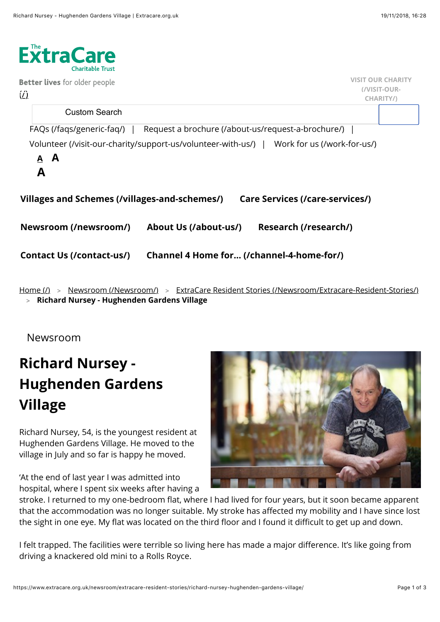

<u>[Home \(/\)](https://www.extracare.org.uk/)</u> > <u>[Newsroom \(/Newsroom/\)](https://www.extracare.org.uk/newsroom/)</u> > <u>ExtraCare Resident Stories (/Newsroom/Extracare-Resident-Stories/</u>) **[Richard Nursey - Hughenden Gardens Village](https://www.extracare.org.uk/newsroom/extracare-resident-stories/richard-nursey-hughenden-gardens-village/#)** >

Newsroom

## **Richard Nursey - Hughenden Gardens Village**

Richard Nursey, 54, is the youngest resident at Hughenden Gardens Village. He moved to the village in July and so far is happy he moved.

'At the end of last year I was admitted into hospital, where I spent six weeks after having a



stroke. I returned to my one-bedroom flat, where I had lived for four years, but it soon became apparent that the accommodation was no longer suitable. My stroke has affected my mobility and I have since lost the sight in one eye. My flat was located on the third floor and I found it difficult to get up and down.

I felt trapped. The facilities were terrible so living here has made a major difference. It's like going from driving a knackered old mini to a Rolls Royce.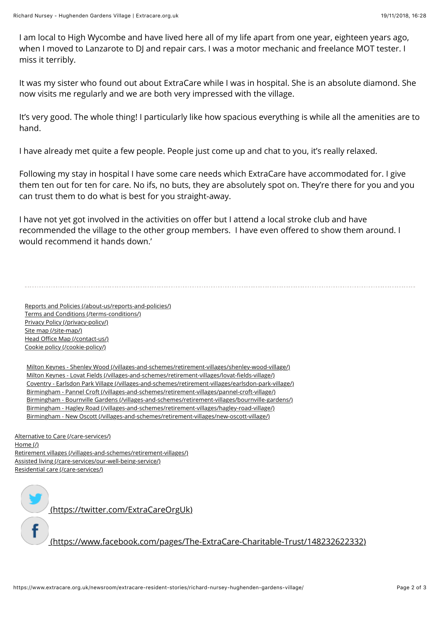I am local to High Wycombe and have lived here all of my life apart from one year, eighteen years ago, when I moved to Lanzarote to DJ and repair cars. I was a motor mechanic and freelance MOT tester. I miss it terribly.

It was my sister who found out about ExtraCare while I was in hospital. She is an absolute diamond. She now visits me regularly and we are both very impressed with the village.

It's very good. The whole thing! I particularly like how spacious everything is while all the amenities are to hand.

I have already met quite a few people. People just come up and chat to you, it's really relaxed.

Following my stay in hospital I have some care needs which ExtraCare have accommodated for. I give them ten out for ten for care. No ifs, no buts, they are absolutely spot on. They're there for you and you can trust them to do what is best for you straight-away.

I have not yet got involved in the activities on offer but I attend a local stroke club and have recommended the village to the other group members. I have even offered to show them around. I would recommend it hands down.'

[Reports and Policies \(/about-us/reports-and-policies/\)](https://www.extracare.org.uk/about-us/reports-and-policies/) [Terms and Conditions \(/terms-conditions/\)](https://www.extracare.org.uk/terms-conditions/) [Privacy Policy \(/privacy-policy/\)](https://www.extracare.org.uk/privacy-policy/) [Site map \(/site-map/\)](https://www.extracare.org.uk/site-map/) Head Offi[ce Map \(/contact-us/\)](https://www.extracare.org.uk/contact-us/) [Cookie policy \(/cookie-policy/\)](https://www.extracare.org.uk/cookie-policy/)

[Milton Keynes - Shenley Wood \(/villages-and-schemes/retirement-villages/shenley-wood-village/\)](https://www.extracare.org.uk/villages-and-schemes/retirement-villages/shenley-wood-village/) [Milton Keynes - Lovat Fields \(/villages-and-schemes/retirement-villages/lovat-](https://www.extracare.org.uk/villages-and-schemes/retirement-villages/lovat-fields-village/)fields-village/) [Coventry - Earlsdon Park Village \(/villages-and-schemes/retirement-villages/earlsdon-park-village/\)](https://www.extracare.org.uk/villages-and-schemes/retirement-villages/earlsdon-park-village/) [Birmingham - Pannel Croft \(/villages-and-schemes/retirement-villages/pannel-croft-village/\)](https://www.extracare.org.uk/villages-and-schemes/retirement-villages/pannel-croft-village/) [Birmingham - Bournville Gardens \(/villages-and-schemes/retirement-villages/bournville-gardens/\)](https://www.extracare.org.uk/villages-and-schemes/retirement-villages/bournville-gardens/) [Birmingham - Hagley Road \(/villages-and-schemes/retirement-villages/hagley-road-village/\)](https://www.extracare.org.uk/villages-and-schemes/retirement-villages/hagley-road-village/) [Birmingham - New Oscott \(/villages-and-schemes/retirement-villages/new-oscott-village/\)](https://www.extracare.org.uk/villages-and-schemes/retirement-villages/new-oscott-village/)

[Alternative to Care \(/care-services/\)](https://www.extracare.org.uk/care-services/) [Home \(/\)](https://www.extracare.org.uk/) [Retirement villages \(/villages-and-schemes/retirement-villages/\)](https://www.extracare.org.uk/villages-and-schemes/retirement-villages/) [Assisted living \(/care-services/our-well-being-service/\)](https://www.extracare.org.uk/care-services/our-well-being-service/) [Residential care \(/care-services/\)](https://www.extracare.org.uk/care-services/)

 [\(https://twitter.com/ExtraCareOrgUk\)](https://twitter.com/ExtraCareOrgUk)

 [\(https://www.facebook.com/pages/The-ExtraCare-Charitable-Trust/148232622332\)](https://www.facebook.com/pages/The-ExtraCare-Charitable-Trust/148232622332)